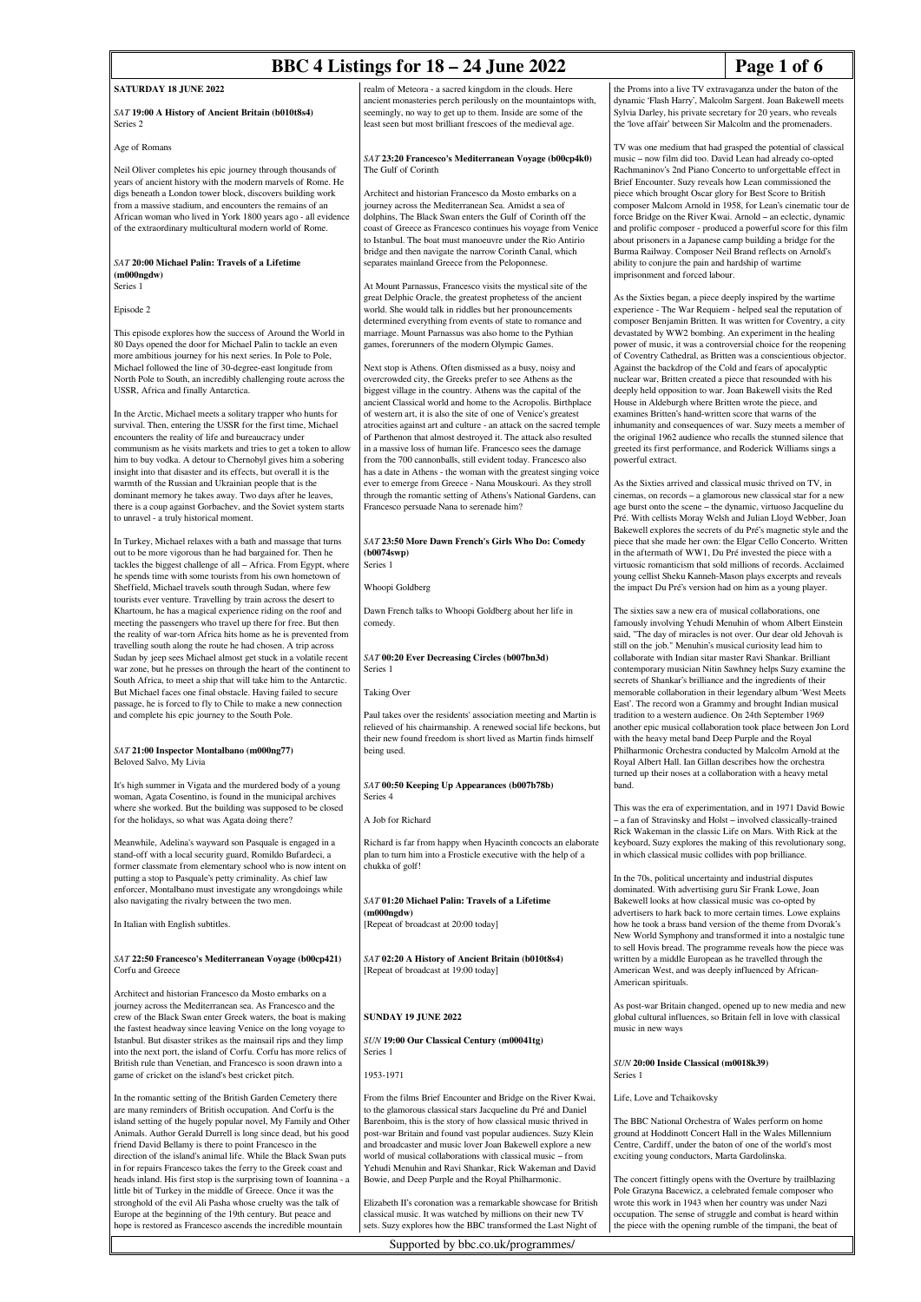# **BBC 4 Listings for 18 – 24 June 2022 Page 1 of 6**

# **SATURDAY 18 HINE 2022**

### *SAT* **19:00 A History of Ancient Britain (b010t8s4)** Series 2

Age of Roma

Neil Oliver completes his epic journey through thousands of years of ancient history with the modern marvels of Rome. He digs beneath a London tower block, discovers building work from a massive stadium, and encounters the remains of an African woman who lived in York 1800 years ago - all evidence of the extraordinary multicultural modern world of Rome.

### *SAT* **20:00 Michael Palin: Travels of a Lifetime (m000ngdw)** Series 1

Episode 2

This episode explores how the success of Around the World in 80 Days opened the door for Michael Palin to tackle an even more ambitious journey for his next series. In Pole to Pole, Michael followed the line of 30-degree-east longitude from North Pole to South, an incredibly challenging route across the USSR, Africa and finally Antarctica.

In the Arctic, Michael meets a solitary trapper who hunts for survival. Then, entering the USSR for the first time, Michael encounters the reality of life and bureaucracy under communism as he visits markets and tries to get a token to allow him to buy vodka. A detour to Chernobyl gives him a sobering insight into that disaster and its effects, but overall it is the warmth of the Russian and Ukrainian people that is the dominant memory he takes away. Two days after he leaves, there is a coup against Gorbachev, and the Soviet system starts to unravel - a truly historical moment.

In Turkey, Michael relaxes with a bath and massage that turns out to be more vigorous than he had bargained for. Then he tackles the biggest challenge of all – Africa. From Egypt, where he spends time with some tourists from his own hometown of Sheffield, Michael travels south through Sudan, where few tourists ever venture. Travelling by train across the desert to Khartoum, he has a magical experience riding on the roof and meeting the passengers who travel up there for free. But then the reality of war-torn Africa hits home as he is prevented from travelling south along the route he had chosen. A trip across Sudan by jeep sees Michael almost get stuck in a volatile recent war zone, but he presses on through the heart of the continent to South Africa, to meet a ship that will take him to the Antarctic. But Michael faces one final obstacle. Having failed to secure passage, he is forced to fly to Chile to make a new connection and complete his epic journey to the South Pole.

## *SAT* **21:00 Inspector Montalbano (m000ng77)** Beloved Salvo, My Livia

It's high summer in Vigata and the murdered body of a young woman, Agata Cosentino, is found in the municipal archives where she worked. But the building was supposed to be closed for the holidays, so what was Agata doing there?

Meanwhile, Adelina's wayward son Pasquale is engaged in a stand-off with a local security guard, Romildo Bufardeci, a former classmate from elementary school who is now intent on putting a stop to Pasquale's petty criminality. As chief law enforcer, Montalbano must investigate any wrongdoings while also navigating the rivalry between the two men.

In Italian with English subtitles.

# *SAT* **22:50 Francesco's Mediterranean Voyage (b00cp421)** Corfu and Greece

Architect and historian Francesco da Mosto embarks on a journey across the Mediterranean sea. As Francesco and the crew of the Black Swan enter Greek waters, the boat is making the fastest headway since leaving Venice on the long voyage to Istanbul. But disaster strikes as the mainsail rips and they limp into the next port, the island of Corfu. Corfu has more relics of British rule than Venetian, and Francesco is soon drawn into a game of cricket on the island's best cricket pitch.

In the romantic setting of the British Garden Cemetery there are many reminders of British occupation. And Corfu is the island setting of the hugely popular novel, My Family and Other Animals. Author Gerald Durrell is long since dead, but his good friend David Bellamy is there to point Francesco in the direction of the island's animal life. While the Black Swan puts in for repairs Francesco takes the ferry to the Greek coast and heads inland. His first stop is the surprising town of Ioannina little bit of Turkey in the middle of Greece. Once it was the stronghold of the evil Ali Pasha whose cruelty was the talk of Europe at the beginning of the 19th century. But peace and hope is restored as Francesco ascends the incredible mountain

realm of Meteora - a sacred kingdom in the clouds. Here ancient monasteries perch perilously on the mountaintops with seemingly, no way to get up to them. Inside are some of the least seen but most brilliant frescoes of the medieval age.

*SAT* **23:20 Francesco's Mediterranean Voyage (b00cp4k0)** The Gulf of Corinth

Architect and historian Francesco da Mosto embarks on a journey across the Mediterranean Sea. Amidst a sea of dolphins, The Black Swan enters the Gulf of Corinth off the coast of Greece as Francesco continues his voyage from Venice to Istanbul. The boat must manoeuvre under the Rio Antirio bridge and then navigate the narrow Corinth Canal, which separates mainland Greece from the Peloponnese.

At Mount Parnassus, Francesco visits the mystical site of the great Delphic Oracle, the greatest prophetess of the ancient world. She would talk in riddles but her pronouncements determined everything from events of state to romance and marriage. Mount Parnassus was also home to the Pythian games, forerunners of the modern Olympic Game

Next stop is Athens. Often dismissed as a busy, noisy and overcrowded city, the Greeks prefer to see Athens as the biggest village in the country. Athens was the capital of the ncient Classical world and home to the Acropolis. Birthplace of western art, it is also the site of one of Venice's greatest atrocities against art and culture - an attack on the sacred temple of Parthenon that almost destroyed it. The attack also resulted in a massive loss of human life. Francesco sees the damage from the 700 cannonballs, still evident today. Francesco also has a date in Athens - the woman with the greatest singing voice ever to emerge from Greece - Nana Mouskouri. As they stroll through the romantic setting of Athens's National Gardens, can Francesco persuade Nana to serenade him?

### *SAT* **23:50 More Dawn French's Girls Who Do: Comedy (b0074swp)** Series 1

Whoopi Goldberg

Dawn French talks to Whoopi Goldberg about her life in comedy.

### *SAT* **00:20 Ever Decreasing Circles (b007bn3d)** Series 1

# Taking Over

Paul takes over the residents' association meeting and Martin is relieved of his chairmanship. A renewed social life beckons, but their new found freedom is short lived as Martin finds himself being used.

### *SAT* **00:50 Keeping Up Appearances (b007b78b)** Series 4

A Job for Richard

Richard is far from happy when Hyacinth concocts an elaborate plan to turn him into a Frosticle executive with the help of a chukka of golf!

*SAT* **01:20 Michael Palin: Travels of a Lifetime (m000ngdw)** [Repeat of broadcast at 20:00 today]

*SAT* **02:20 A History of Ancient Britain (b010t8s4)** [Repeat of broadcast at 19:00 today]

# **SUNDAY 19 JUNE 2022**

### *SUN* **19:00 Our Classical Century (m00041tg)** Series 1

1953-1971

From the films Brief Encounter and Bridge on the River Kwai, to the glamorous classical stars Jacqueline du Pré and Daniel Barenboim, this is the story of how classical music thrived in post-war Britain and found vast popular audiences. Suzy Klein and broadcaster and music lover Joan Bakewell explore a new world of musical collaborations with classical music – from Yehudi Menuhin and Ravi Shankar, Rick Wakeman and David Bowie, and Deep Purple and the Royal Philharmonic.

Elizabeth II's coronation was a remarkable showcase for British classical music. It was watched by millions on their new TV sets. Suzy explores how the BBC transformed the Last Night of

Supported by bbc.co.uk/programmes/

the Proms into a live TV extravaganza under the baton of the dynamic 'Flash Harry', Malcolm Sargent. Joan Bakewell meets Sylvia Darley, his private secretary for 20 years, who reveals the 'love affair' between Sir Malcolm and the promenaders.

was one medium that had grasped the potential of classical music – now film did too. David Lean had already co-opted Rachmaninov's 2nd Piano Concerto to unforgettable effect in Brief Encounter. Suzy reveals how Lean commissioned the piece which brought Oscar glory for Best Score to British composer Malcom Arnold in 1958, for Lean's cinematic tour de force Bridge on the River Kwai. Arnold – an eclectic, dynan and prolific composer - produced a powerful score for this film about prisoners in a Japanese camp building a bridge for the Burma Railway. Composer Neil Brand reflects on Arnold's ability to conjure the pain and hardship of wartime imprisonment and forced labour.

As the Sixties began, a piece deeply inspired by the wartime experience - The War Requiem - helped seal the reputation of composer Benjamin Britten. It was written for Coventry, a city devastated by WW2 bombing. An experiment in the healing power of music, it was a controversial choice for the reopening of Coventry Cathedral, as Britten was a conscientious objector. Against the backdrop of the Cold and fears of apocalyptic nuclear war, Britten created a piece that resounded with his deeply held opposition to war. Joan Bakewell visits the Red House in Aldeburgh where Britten wrote the piece, and examines Britten's hand-written score that warns of the inhumanity and consequences of war. Suzy meets a member of the original 1962 audience who recalls the stunned silence that greeted its first performance, and Roderick Williams sings a powerful extract.

As the Sixties arrived and classical music thrived on TV, in cinemas, on records – a glamorous new classical star for a new age burst onto the scene – the dynamic, virtuoso Jacqueline du Pré. With cellists Moray Welsh and Julian Lloyd Webber, Joan Bakewell explores the secrets of du Pré's magnetic style and the piece that she made her own: the Elgar Cello Concerto. Written in the aftermath of WW1, Du Pré invested the piece with a virtuosic romanticism that sold millions of records. Acclaimed young cellist Sheku Kanneh-Mason plays excerpts and reveals the impact Du Pré's version had on him as a young player.

The sixties saw a new era of musical collaborations, one famously involving Yehudi Menuhin of whom Albert Einstein said, "The day of miracles is not over. Our dear old Jehovah is still on the job." Menuhin's musical curiosity lead him to collaborate with Indian sitar master Ravi Shankar. Brilliant contemporary musician Nitin Sawhney helps Suzy examine the secrets of Shankar's brilliance and the ingredients of their memorable collaboration in their legendary album 'West Meets East'. The record won a Grammy and brought Indian musical tradition to a western audience. On 24th September 1969 another epic musical collaboration took place between Jon Lord with the heavy metal band Deep Purple and the Royal Philharmonic Orchestra conducted by Malcolm Arnold at the Royal Albert Hall. Ian Gillan describes how the orchestra turned up their noses at a collaboration with a heavy metal band.

This was the era of experimentation, and in 1971 David Bowie – a fan of Stravinsky and Holst – involved classically-trained Rick Wakeman in the classic Life on Mars. With Rick at the keyboard, Suzy explores the making of this revolutionary song, in which classical music collides with pop brilliance.

In the 70s, political uncertainty and industrial disputes dominated. With advertising guru Sir Frank Lowe, Joan Bakewell looks at how classical music was co-opted by advertisers to hark back to more certain times. Lowe explains how he took a brass band version of the theme from Dvorak's New World Symphony and transformed it into a nostalgic tune to sell Hovis bread. The programme reveals how the piece was written by a middle European as he travelled through the American West, and was deeply influenced by African-American spirituals.

As post-war Britain changed, opened up to new media and new global cultural influences, so Britain fell in love with classical music in new ways

*SUN* **20:00 Inside Classical (m0018k39)** Series 1

Life, Love and Tchaikovsky

The BBC National Orchestra of Wales perform on home ground at Hoddinott Concert Hall in the Wales Millennium Centre, Cardiff, under the baton of one of the world's most exciting young conductors, Marta Gardolinska.

The concert fittingly opens with the Overture by trailblazing Pole Grazyna Bacewicz, a celebrated female composer who wrote this work in 1943 when her country was under Nazi occupation. The sense of struggle and combat is heard within the piece with the opening rumble of the timpani, the beat of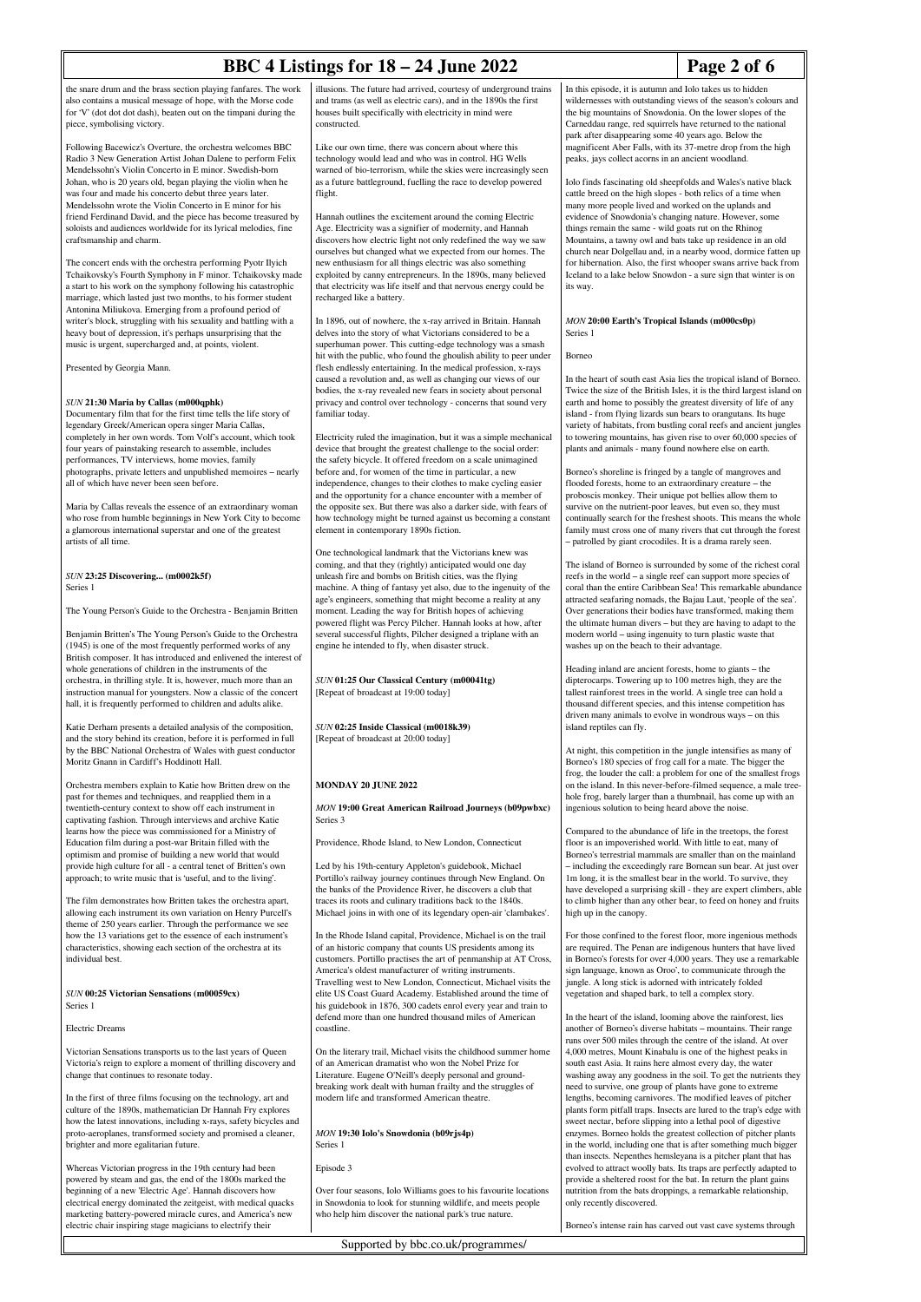# **BBC 4 Listings for 18 – 24 June 2022 Page 2 of 6**

the snare drum and the brass section playing fanfares. The work also contains a musical message of hope, with the Morse code for 'V' (dot dot dot dash), beaten out on the timpani during the piece, symbolising victory.

lowing Bacewicz's Overture, the orchestra welcomes BBC Radio 3 New Generation Artist Johan Dalene to perform Felix Mendelssohn's Violin Concerto in E minor. Swedish-born Johan, who is 20 years old, began playing the violin when h was four and made his concerto debut three years later. Mendelssohn wrote the Violin Concerto in E minor for his friend Ferdinand David, and the piece has become treasured by soloists and audiences worldwide for its lyrical melodies, fine craftsmanship and charm.

The concert ends with the orchestra performing Pyotr Ilyich Tchaikovsky's Fourth Symphony in F minor. Tchaikovsky made a start to his work on the symphony following his catastrophic marriage, which lasted just two months, to his former student Antonina Miliukova. Emerging from a profound period of writer's block, struggling with his sexuality and battling with a heavy bout of depression, it's perhaps unsurprising that the music is urgent, supercharged and, at points, violent.

Presented by Georgia Mann.

# *SUN* **21:30 Maria by Callas (m000qphk)**

Documentary film that for the first time tells the life story of legendary Greek/American opera singer Maria Callas, completely in her own words. Tom Volf's account, which took four years of painstaking research to assemble, includes performances, TV interviews, home movies, family photographs, private letters and unpublished memoires – nearly all of which have never been seen before.

Maria by Callas reveals the essence of an extraordinary woman who rose from humble beginnings in New York City to become a glamorous international superstar and one of the greatest artists of all time.

*SUN* **23:25 Discovering... (m0002k5f)** Series 1

The Young Person's Guide to the Orchestra - Benjamin Britten

Benjamin Britten's The Young Person's Guide to the Orchestra (1945) is one of the most frequently performed works of any British composer. It has introduced and enlivened the interest of whole generations of children in the instruments of the orchestra, in thrilling style. It is, however, much more than an instruction manual for youngsters. Now a classic of the concert hall, it is frequently performed to children and adults alike.

Katie Derham presents a detailed analysis of the composition, and the story behind its creation, before it is performed in full by the BBC National Orchestra of Wales with guest conductor Moritz Gnann in Cardiff's Hoddinott Hall.

Orchestra members explain to Katie how Britten drew on the past for themes and techniques, and reapplied them in a twentieth-century context to show off each instrument in captivating fashion. Through interviews and archive Katie learns how the piece was commissioned for a Ministry of Education film during a post-war Britain filled with the optimism and promise of building a new world that would provide high culture for all - a central tenet of Britten's own approach; to write music that is 'useful, and to the living'.

The film demonstrates how Britten takes the orchestra apart, allowing each instrument its own variation on Henry Purcell's theme of 250 years earlier. Through the performance we see how the 13 variations get to the essence of each instrument's characteristics, showing each section of the orchestra at its individual best.

*SUN* **00:25 Victorian Sensations (m00059cx)** Series 1

Electric Dreams

Victorian Sensations transports us to the last years of Queen Victoria's reign to explore a moment of thrilling discovery and change that continues to resonate today.

In the first of three films focusing on the technology, art and culture of the 1890s, mathematician Dr Hannah Fry explores how the latest innovations, including x-rays, safety bicycles and proto-aeroplanes, transformed society and promised a cleaner, brighter and more egalitarian future.

Whereas Victorian progress in the 19th century had been powered by steam and gas, the end of the 1800s marked the beginning of a new 'Electric Age'. Hannah discovers how electrical energy dominated the zeitgeist, with medical quacks marketing battery-powered miracle cures, and America's new electric chair inspiring stage magicians to electrify their

illusions. The future had arrived, courtesy of underground trains and trams (as well as electric cars), and in the 1890s the first houses built specifically with electricity in mind were constructed.

Like our own time, there was concern about where this technology would lead and who was in control. HG Wells warned of bio-terrorism, while the skies were increasingly seen as a future battleground, fuelling the race to develop powered flight.

Hannah outlines the excitement around the coming Electric Age. Electricity was a signifier of modernity, and Hannah discovers how electric light not only redefined the way we saw ourselves but changed what we expected from our homes. The new enthusiasm for all things electric was also something exploited by canny entrepreneurs. In the 1890s, many believed that electricity was life itself and that nervous energy could be recharged like a battery.

In 1896, out of nowhere, the x-ray arrived in Britain. Hannah delves into the story of what Victorians considered to be a superhuman power. This cutting-edge technology was a smash hit with the public, who found the ghoulish ability to peer under flesh endlessly entertaining. In the medical profession, x-rays caused a revolution and, as well as changing our views of our bodies, the x-ray revealed new fears in society about personal privacy and control over technology - concerns that sound very familiar today.

Electricity ruled the imagination, but it was a simple mechanical device that brought the greatest challenge to the social order: the safety bicycle. It offered freedom on a scale unimagined before and, for women of the time in particular, a new independence, changes to their clothes to make cycling easier and the opportunity for a chance encounter with a member of the opposite sex. But there was also a darker side, with fears of how technology might be turned against us becoming a constant element in contemporary 1890s fiction.

One technological landmark that the Victorians knew was coming, and that they (rightly) anticipated would one day unleash fire and bombs on British cities, was the flying machine. A thing of fantasy yet also, due to the ingenuity of the age's engineers, something that might become a reality at any age's engineers, something that might become a reality at any moment. Leading the way for British hopes of achieving powered flight was Percy Pilcher. Hannah looks at how, after several successful flights, Pilcher designed a triplane with an engine he intended to fly, when disaster struck.

*SUN* **01:25 Our Classical Century (m00041tg)** [Repeat of broadcast at 19:00 today]

*SUN* **02:25 Inside Classical (m0018k39)** [Repeat of broadcast at 20:00 today]

# **MONDAY 20 JUNE 2022**

*MON* **19:00 Great American Railroad Journeys (b09pwbxc)** Series 3

Providence, Rhode Island, to New London, Connecticut

Led by his 19th-century Appleton's guidebook, Michael Portillo's railway journey continues through New England. On the banks of the Providence River, he discovers a club that traces its roots and culinary traditions back to the 1840s. Michael joins in with one of its legendary open-air 'clambakes'.

In the Rhode Island capital, Providence, Michael is on the trail of an historic company that counts US presidents among its customers. Portillo practises the art of penmanship at AT Cross, America's oldest manufacturer of writing instruments. Travelling west to New London, Connecticut, Michael visits the elite US Coast Guard Academy. Established around the time of his guidebook in 1876, 300 cadets enrol every year and train to defend more than one hundred thousand miles of American coastline.

On the literary trail, Michael visits the childhood summer home of an American dramatist who won the Nobel Prize for Literature. Eugene O'Neill's deeply personal and groundbreaking work dealt with human frailty and the struggles of modern life and transformed American theatre.

*MON* **19:30 Iolo's Snowdonia (b09rjs4p)** Series 1

Episode 3

Over four seasons, Iolo Williams goes to his favourite locations in Snowdonia to look for stunning wildlife, and meets people who help him discover the national park's true nature.

In this episode, it is autumn and Iolo takes us to hidden wildernesses with outstanding views of the season's colours and the big mountains of Snowdonia. On the lower slopes of the Carneddau range, red squirrels have returned to the national park after disappearing some 40 years ago. Below the magnificent Aber Falls, with its 37-metre drop from the high peaks, jays collect acorns in an ancient woodland.

Iolo finds fascinating old sheepfolds and Wales's native black cattle breed on the high slopes - both relics of a time when many more people lived and worked on the uplands and evidence of Snowdonia's changing nature. However, some things remain the same - wild goats rut on the Rhinog Mountains, a tawny owl and bats take up residence in an old church near Dolgellau and, in a nearby wood, dormice fatten up for hibernation. Also, the first whooper swans arrive back from Iceland to a lake below Snowdon - a sure sign that winter is on its way.

## *MON* **20:00 Earth's Tropical Islands (m000cs0p)** Series 1

Borneo

In the heart of south east Asia lies the tropical island of Borneo. Twice the size of the British Isles, it is the third largest island on earth and home to possibly the greatest diversity of life of any island - from flying lizards sun bears to orangutans. Its huge variety of habitats, from bustling coral reefs and ancient jungles to towering mountains, has given rise to over 60,000 species of plants and animals - many found nowhere else on earth.

Borneo's shoreline is fringed by a tangle of mangroves and flooded forests, home to an extraordinary creature – the proboscis monkey. Their unique pot bellies allow them to survive on the nutrient-poor leaves, but even so, they must continually search for the freshest shoots. This means the whole family must cross one of many rivers that cut through the forest – patrolled by giant crocodiles. It is a drama rarely seen.

The island of Borneo is surrounded by some of the richest coral reefs in the world – a single reef can support more species of coral than the entire Caribbean Sea! This remarkable abundance attracted seafaring nomads, the Bajau Laut, 'people of the sea'. Over generations their bodies have transformed, making them the ultimate human divers – but they are having to adapt to the modern world – using ingenuity to turn plastic waste that washes up on the beach to their advantage.

Heading inland are ancient forests, home to giants – the dipterocarps. Towering up to 100 metres high, they are the tallest rainforest trees in the world. A single tree can hold a thousand different species, and this intense competition has driven many animals to evolve in wondrous ways – on this island reptiles can fly.

At night, this competition in the jungle intensifies as many of Borneo's 180 species of frog call for a mate. The bigger the frog, the louder the call: a problem for one of the smallest frogs on the island. In this never-before-filmed sequence, a male treehole frog, barely larger than a thumbnail, has come up with an ingenious solution to being heard above the noise.

Compared to the abundance of life in the treetops, the forest floor is an impoverished world. With little to eat, many of Borneo's terrestrial mammals are smaller than on the mainland – including the exceedingly rare Bornean sun bear. At just over 1m long, it is the smallest bear in the world. To survive, they have developed a surprising skill - they are expert climbers, able to climb higher than any other bear, to feed on honey and fruits high up in the canopy.

For those confined to the forest floor, more ingenious methods are required. The Penan are indigenous hunters that have lived in Borneo's forests for over 4,000 years. They use a remarkable sign language, known as Oroo', to communicate through the jungle. A long stick is adorned with intricately folded vegetation and shaped bark, to tell a complex story.

In the heart of the island, looming above the rainforest, lies another of Borneo's diverse habitats – mountains. Their range runs over 500 miles through the centre of the island. At over 4,000 metres, Mount Kinabalu is one of the highest peaks in south east Asia. It rains here almost every day, the water washing away any goodness in the soil. To get the nutrients they need to survive, one group of plants have gone to extreme lengths, becoming carnivores. The modified leaves of pitcher plants form pitfall traps. Insects are lured to the trap's edge with sweet nectar, before slipping into a lethal pool of digestive enzymes. Borneo holds the greatest collection of pitcher pla in the world, including one that is after something much bigger than insects. Nepenthes hemsleyana is a pitcher plant that has evolved to attract woolly bats. Its traps are perfectly adapted to provide a sheltered roost for the bat. In return the plant gains nutrition from the bats droppings, a remarkable relationship, only recently discovered.

Borneo's intense rain has carved out vast cave systems through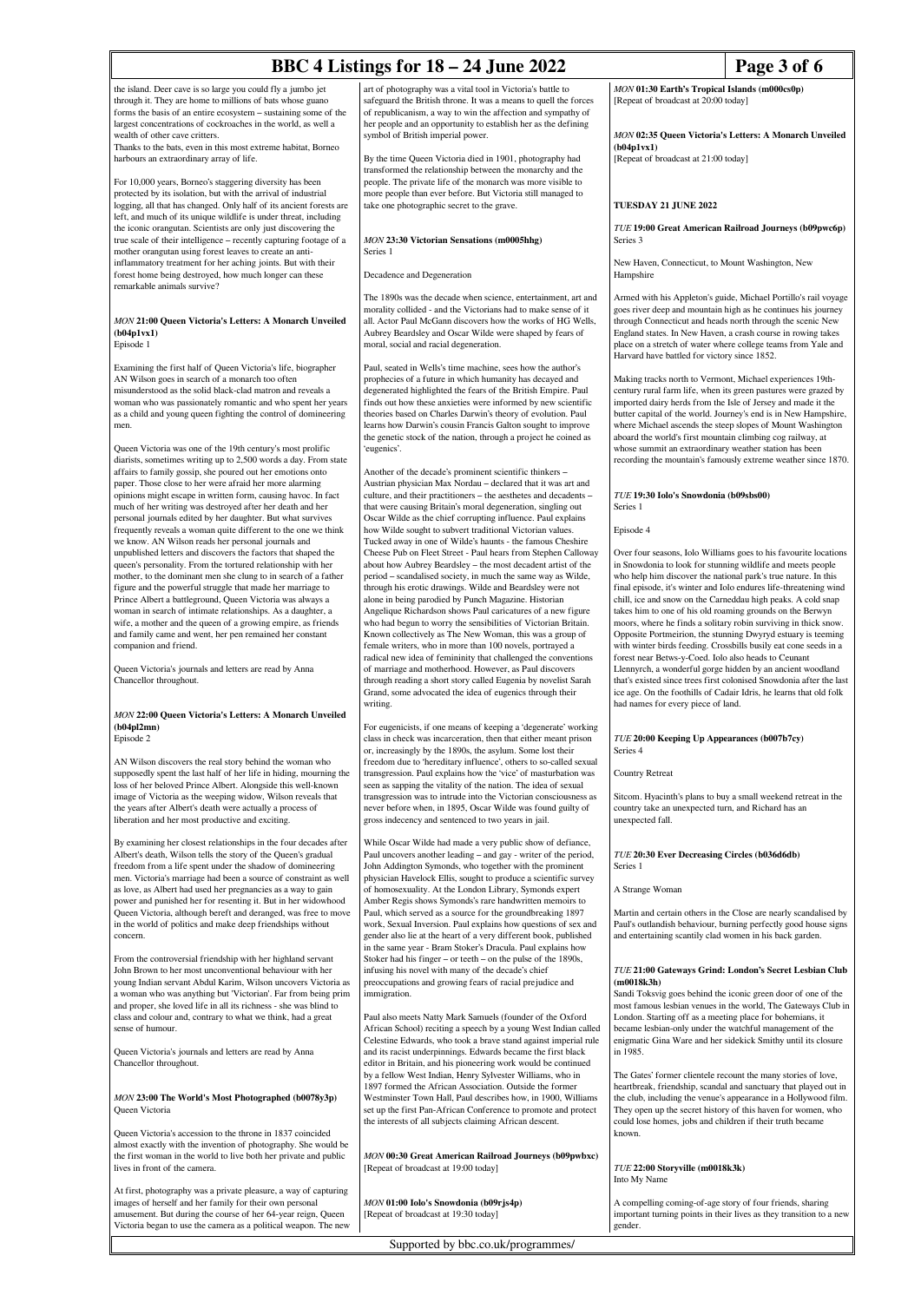**BBC 4 Listings for 18 – 24 June 2022 Page 3 of 6** the island. Deer cave is so large you could fly a jumbo jet through it. They are home to millions of bats whose guano forms the basis of an entire ecosystem – sustaining some of the largest concentrations of cockroaches in the world, as well a wealth of other cave critters. Thanks to the bats, even in this most extreme habitat, Borne harbours an extraordinary array of life. For 10,000 years, Borneo's staggering diversity has been protected by its isolation, but with the arrival of industrial logging, all that has changed. Only half of its ancient forests are left, and much of its unique wildlife is under threat, including the iconic orangutan. Scientists are only just discovering the true scale of their intelligence – recently capturing footage of a mother orangutan using forest leaves to create an antiinflammatory treatment for her aching joints. But with their forest home being destroyed, how much longer can these remarkable animals survive? *MON* **21:00 Queen Victoria's Letters: A Monarch Unveiled (b04p1vx1)** Episode 1 Examining the first half of Queen Victoria's life, biographer AN Wilson goes in search of a monarch too often misunderstood as the solid black-clad matron and reveals a woman who was passionately romantic and who spent her years as a child and young queen fighting the control of domineering men. Queen Victoria was one of the 19th century's most prolific diarists, sometimes writing up to 2,500 words a day. From state affairs to family gossip, she poured out her emotions onto paper. Those close to her were afraid her more alarming opinions might escape in written form, causing havoc. In fact much of her writing was destroyed after her death and her personal journals edited by her daughter. But what survives frequently reveals a woman quite different to the one we think we know. AN Wilson reads her personal journals and unpublished letters and discovers the factors that shaped the queen's personality. From the tortured relationship with her mother, to the dominant men she clung to in search of a father figure and the powerful struggle that made her marriage to Prince Albert a battleground, Queen Victoria was always a woman in search of intimate relationships. As a daughter, a wife, a mother and the queen of a growing empire, as friends and family came and went, her pen remained her constant companion and friend. Queen Victoria's journals and letters are read by Anna Chancellor throughout. *MON* **22:00 Queen Victoria's Letters: A Monarch Unveiled (b04pl2mn)** Episode 2 AN Wilson discovers the real story behind the woman who supposedly spent the last half of her life in hiding, mourning the loss of her beloved Prince Albert. Alongside this well-known image of Victoria as the weeping widow, Wilson reveals that the years after Albert's death were actually a process of liberation and her most productive and exciting. art of photography was a vital tool in Victoria's battle to safeguard the British throne. It was a means to quell the forces of republicanism, a way to win the affection and sympathy of her people and an opportunity to establish her as the defining symbol of British imperial power. By the time Queen Victoria died in 1901, photography had transformed the relationship between the monarchy and the people. The private life of the monarch was more visible to more people than ever before. But Victoria still managed to take one photographic secret to the grave. *MON* **23:30 Victorian Sensations (m0005hhg)** Series 1 Decadence and Degeneration The 1890s was the decade when science, entertainment, art and morality collided - and the Victorians had to make sense of it all. Actor Paul McGann discovers how the works of HG Wells, Aubrey Beardsley and Oscar Wilde were shaped by fears of moral, social and racial degeneration. Paul, seated in Wells's time machine, sees how the author's prophecies of a future in which humanity has decayed and degenerated highlighted the fears of the British Empire. Paul finds out how these anxieties were informed by new scientific theories based on Charles Darwin's theory of evolution. Paul learns how Darwin's cousin Francis Galton sought to improve the genetic stock of the nation, through a project he coined as 'eugenics'. Another of the decade's prominent scientific thinkers – Austrian physician Max Nordau – declared that it was art and culture, and their practitioners – the aesthetes and decadents – that were causing Britain's moral degeneration, singling out Oscar Wilde as the chief corrupting influence. Paul explains how Wilde sought to subvert traditional Victorian values. Tucked away in one of Wilde's haunts - the famous Cheshire Cheese Pub on Fleet Street - Paul hears from Stephen Calloway about how Aubrey Beardsley – the most decadent artist of the period – scandalised society, in much the same way as Wilde, through his erotic drawings. Wilde and Beardsley were not alone in being parodied by Punch Magazine. Historian Angelique Richardson shows Paul caricatures of a new figure who had begun to worry the sensibilities of Victorian Britain. Known collectively as The New Woman, this was a group of female writers, who in more than 100 novels, portrayed a radical new idea of femininity that challenged the convention of marriage and motherhood. However, as Paul discovers through reading a short story called Eugenia by novelist Sarah Grand, some advocated the idea of eugenics through their writing. For eugenicists, if one means of keeping a 'degenerate' working class in check was incarceration, then that either meant prison or, increasingly by the 1890s, the asylum. Some lost their freedom due to 'hereditary influence', others to so-called sexual transgression. Paul explains how the 'vice' of masturbation was seen as sapping the vitality of the nation. The idea of sexual transgression was to intrude into the Victorian consciousness as never before when, in 1895, Oscar Wilde was found guilty of *MON* **01:30 Earth's Tropical Islands (m000cs0p)** [Repeat of broadcast at 20:00 today] *MON* **02:35 Queen Victoria's Letters: A Monarch Unveiled (b04p1vx1)** [Repeat of broadcast at 21:00 today] **TUESDAY 21 JUNE 2022** *TUE* **19:00 Great American Railroad Journeys (b09pwc6p)** Series 3 New Haven, Connecticut, to Mount Washington, New Hampshire Armed with his Appleton's guide, Michael Portillo's rail voyage Harvard have battled for victory since 1852. Making tracks north to Vermont, Michael experiences 19thimported dairy herds from the Isle of Jersey and made it the aboard the world's first mountain climbing cog railway, at whose summit an extraordinary weather station has been *TUE* **19:30 Iolo's Snowdonia (b09sbs00)** Series 1 Episode 4 Over four seasons, Iolo Williams goes to his favourite locations in Snowdonia to look for stunning wildlife and meets people who help him discover the national park's true nature. In this takes him to one of his old roaming grounds on the Berwyn forest near Betws-y-Coed. Iolo also heads to Ceunant had names for every piece of land *TUE* **20:00 Keeping Up Appearances (b007b7cy)** Series 4 Country Retreat Sitcom. Hyacinth's plans to buy a small weekend retreat in the country take an unexpected turn, and Richard has an

By examining her closest relationships in the four decades after Albert's death, Wilson tells the story of the Queen's gradual freedom from a life spent under the shadow of domineering men. Victoria's marriage had been a source of constraint as well as love, as Albert had used her pregnancies as a way to gain power and punished her for resenting it. But in her widowhood Queen Victoria, although bereft and deranged, was free to move in the world of politics and make deep friendships without concern.

From the controversial friendship with her highland servant John Brown to her most unconventional behaviour with her young Indian servant Abdul Karim, Wilson uncovers Victoria as a woman who was anything but 'Victorian'. Far from being prim and proper, she loved life in all its richness - she was blind to class and colour and, contrary to what we think, had a great sense of humour.

Queen Victoria's journals and letters are read by Anna Chancellor throughout.

*MON* **23:00 The World's Most Photographed (b0078y3p)** Queen Victoria

Queen Victoria's accession to the throne in 1837 coincided almost exactly with the invention of photography. She would be the first woman in the world to live both her private and public lives in front of the camera.

At first, photography was a private pleasure, a way of capturing images of herself and her family for their own personal sement. But during the course of her 64-year reign, Queen Victoria began to use the camera as a political weapon. The new gross indecency and sentenced to two years in jail.

While Oscar Wilde had made a very public show of defiance. Paul uncovers another leading – and gay - writer of the period, John Addington Symonds, who together with the prominent physician Havelock Ellis, sought to produce a scientific survey of homosexuality. At the London Library, Symonds expert Amber Regis shows Symonds's rare handwritten memoirs to Paul, which served as a source for the groundbreaking 1897 work, Sexual Inversion. Paul explains how questions of sex and gender also lie at the heart of a very different book, published in the same year - Bram Stoker's Dracula. Paul explains how Stoker had his finger – or teeth – on the pulse of the  $1890s$ , infusing his novel with many of the decade's chief preoccupations and growing fears of racial prejudice and immigration.

Paul also meets Natty Mark Samuels (founder of the Oxford African School) reciting a speech by a young West Indian called Celestine Edwards, who took a brave stand against imperial rule and its racist underpinnings. Edwards became the first black editor in Britain, and his pioneering work would be continued by a fellow West Indian, Henry Sylvester Williams, who in 1897 formed the African Association. Outside the former Westminster Town Hall, Paul describes how, in 1900, Williams set up the first Pan-African Conference to promote and protect the interests of all subjects claiming African descent.

*MON* **00:30 Great American Railroad Journeys (b09pwbxc)** [Repeat of broadcast at 19:00 today]

*MON* **01:00 Iolo's Snowdonia (b09rjs4p)** [Repeat of broadcast at 19:30 today]

Supported by bbc.co.uk/programmes/

goes river deep and mountain high as he continues his journey through Connecticut and heads north through the scenic New England states. In New Haven, a crash course in rowing takes place on a stretch of water where college teams from Yale and

century rural farm life, when its green pastures were grazed by butter capital of the world. Journey's end is in New Hampshire, where Michael ascends the steep slopes of Mount Washington recording the mountain's famously extreme weather since 1870.

final episode, it's winter and Iolo endures life-threatening wind chill, ice and snow on the Carneddau high peaks. A cold snap moors, where he finds a solitary robin surviving in thick snow. Opposite Portmeirion, the stunning Dwyryd estuary is teeming with winter birds feeding. Crossbills busily eat cone seeds in a Llennyrch, a wonderful gorge hidden by an ancient woodland that's existed since trees first colonised Snowdonia after the last ice age. On the foothills of Cadair Idris, he learns that old folk

unexpected fall.

*TUE* **20:30 Ever Decreasing Circles (b036d6db)** Series 1

# A Strange Woman

Martin and certain others in the Close are nearly scandalised by Paul's outlandish behaviour, burning perfectly good house signs and entertaining scantily clad women in his back garden.

## *TUE* **21:00 Gateways Grind: London's Secret Lesbian Club (m0018k3h)**

Sandi Toksvig goes behind the iconic green door of one of the most famous lesbian venues in the world, The Gateways Club in London. Starting off as a meeting place for bohemians, it became lesbian-only under the watchful management of the enigmatic Gina Ware and her sidekick Smithy until its closure in 1985.

The Gates' former clientele recount the many stories of love, heartbreak, friendship, scandal and sanctuary that played out in the club, including the venue's appearance in a Hollywood film. They open up the secret history of this haven for women, who could lose homes, jobs and children if their truth became known.

*TUE* **22:00 Storyville (m0018k3k)** Into My Name

A compelling coming-of-age story of four friends, sharing important turning points in their lives as they transition to a new gender.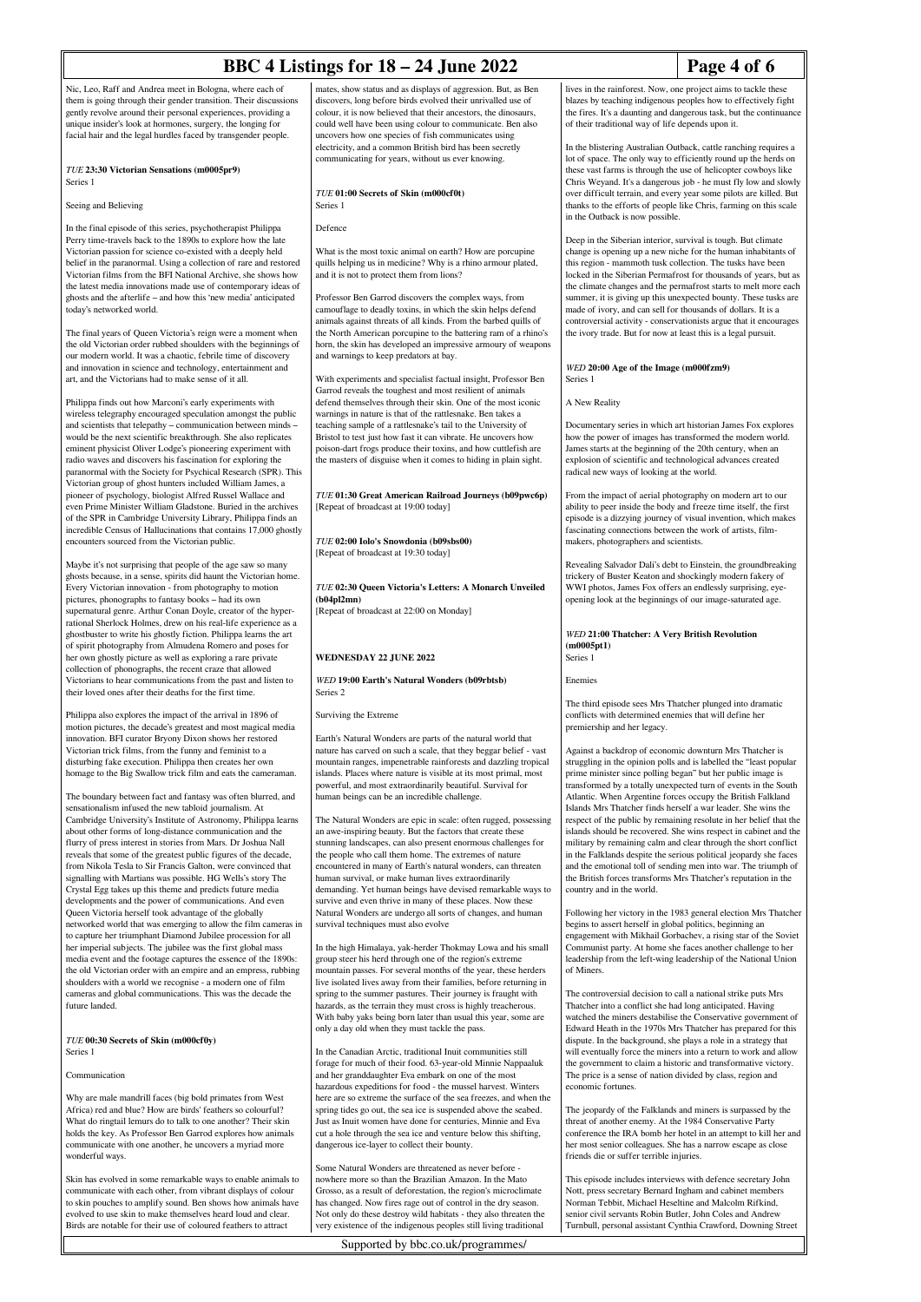| BBC 4 Listings for 18 - 24 June 2022                                                                                                                                                                                                                                                                                                                                                                                                                                                                                                                                                                                                  | Page 4 of 6                                                                                                                                                                                                                                                                                                                                                                                                                                                                                                     |                                                                                                                                                                                                                                                                                                                                                                                                                                                                                                                                                                                                                 |  |
|---------------------------------------------------------------------------------------------------------------------------------------------------------------------------------------------------------------------------------------------------------------------------------------------------------------------------------------------------------------------------------------------------------------------------------------------------------------------------------------------------------------------------------------------------------------------------------------------------------------------------------------|-----------------------------------------------------------------------------------------------------------------------------------------------------------------------------------------------------------------------------------------------------------------------------------------------------------------------------------------------------------------------------------------------------------------------------------------------------------------------------------------------------------------|-----------------------------------------------------------------------------------------------------------------------------------------------------------------------------------------------------------------------------------------------------------------------------------------------------------------------------------------------------------------------------------------------------------------------------------------------------------------------------------------------------------------------------------------------------------------------------------------------------------------|--|
| Nic, Leo, Raff and Andrea meet in Bologna, where each of<br>them is going through their gender transition. Their discussions<br>gently revolve around their personal experiences, providing a<br>unique insider's look at hormones, surgery, the longing for<br>facial hair and the legal hurdles faced by transgender people.                                                                                                                                                                                                                                                                                                        | mates, show status and as displays of aggression. But, as Ben<br>discovers, long before birds evolved their unrivalled use of<br>colour, it is now believed that their ancestors, the dinosaurs,<br>could well have been using colour to communicate. Ben also<br>uncovers how one species of fish communicates using<br>electricity, and a common British bird has been secretly                                                                                                                               | lives in the rainforest. Now, one project aims to tackle these<br>blazes by teaching indigenous peoples how to effectively fight<br>the fires. It's a daunting and dangerous task, but the continuance<br>of their traditional way of life depends upon it.<br>In the blistering Australian Outback, cattle ranching requires a                                                                                                                                                                                                                                                                                 |  |
| TUE 23:30 Victorian Sensations (m0005pr9)<br>Series 1                                                                                                                                                                                                                                                                                                                                                                                                                                                                                                                                                                                 | communicating for years, without us ever knowing.                                                                                                                                                                                                                                                                                                                                                                                                                                                               | lot of space. The only way to efficiently round up the herds on<br>these vast farms is through the use of helicopter cowboys like<br>Chris Weyand. It's a dangerous job - he must fly low and slowly                                                                                                                                                                                                                                                                                                                                                                                                            |  |
| Seeing and Believing                                                                                                                                                                                                                                                                                                                                                                                                                                                                                                                                                                                                                  | TUE 01:00 Secrets of Skin (m000cf0t)<br>Series 1                                                                                                                                                                                                                                                                                                                                                                                                                                                                | over difficult terrain, and every year some pilots are killed. But<br>thanks to the efforts of people like Chris, farming on this scale<br>in the Outback is now possible.                                                                                                                                                                                                                                                                                                                                                                                                                                      |  |
| In the final episode of this series, psychotherapist Philippa<br>Perry time-travels back to the 1890s to explore how the late<br>Victorian passion for science co-existed with a deeply held<br>belief in the paranormal. Using a collection of rare and restored<br>Victorian films from the BFI National Archive, she shows how<br>the latest media innovations made use of contemporary ideas of<br>ghosts and the afterlife – and how this 'new media' anticipated<br>today's networked world.<br>The final years of Queen Victoria's reign were a moment when<br>the old Victorian order rubbed shoulders with the beginnings of | Defence<br>What is the most toxic animal on earth? How are porcupine<br>quills helping us in medicine? Why is a rhino armour plated,<br>and it is not to protect them from lions?<br>Professor Ben Garrod discovers the complex ways, from<br>camouflage to deadly toxins, in which the skin helps defend<br>animals against threats of all kinds. From the barbed quills of<br>the North American porcupine to the battering ram of a rhino's<br>horn, the skin has developed an impressive armoury of weapons | Deep in the Siberian interior, survival is tough. But climate<br>change is opening up a new niche for the human inhabitants of<br>this region - mammoth tusk collection. The tusks have been<br>locked in the Siberian Permafrost for thousands of years, but as<br>the climate changes and the permafrost starts to melt more each<br>summer, it is giving up this unexpected bounty. These tusks are<br>made of ivory, and can sell for thousands of dollars. It is a<br>controversial activity - conservationists argue that it encourages<br>the ivory trade. But for now at least this is a legal pursuit. |  |
| our modern world. It was a chaotic, febrile time of discovery<br>and innovation in science and technology, entertainment and<br>art, and the Victorians had to make sense of it all.<br>Philippa finds out how Marconi's early experiments with                                                                                                                                                                                                                                                                                                                                                                                       | and warnings to keep predators at bay.<br>With experiments and specialist factual insight, Professor Ben<br>Garrod reveals the toughest and most resilient of animals<br>defend themselves through their skin. One of the most iconic                                                                                                                                                                                                                                                                           | WED 20:00 Age of the Image (m000fzm9)<br>Series 1<br>A New Reality                                                                                                                                                                                                                                                                                                                                                                                                                                                                                                                                              |  |
| wireless telegraphy encouraged speculation amongst the public<br>and scientists that telepathy – communication between minds –<br>would be the next scientific breakthrough. She also replicates<br>eminent physicist Oliver Lodge's pioneering experiment with<br>radio waves and discovers his fascination for exploring the<br>paranormal with the Society for Psychical Research (SPR). This<br>Victorian group of ghost hunters included William James, a                                                                                                                                                                        | warnings in nature is that of the rattlesnake. Ben takes a<br>teaching sample of a rattlesnake's tail to the University of<br>Bristol to test just how fast it can vibrate. He uncovers how<br>poison-dart frogs produce their toxins, and how cuttlefish are<br>the masters of disguise when it comes to hiding in plain sight.                                                                                                                                                                                | Documentary series in which art historian James Fox explores<br>how the power of images has transformed the modern world.<br>James starts at the beginning of the 20th century, when an<br>explosion of scientific and technological advances created<br>radical new ways of looking at the world.                                                                                                                                                                                                                                                                                                              |  |
| pioneer of psychology, biologist Alfred Russel Wallace and<br>even Prime Minister William Gladstone. Buried in the archives<br>of the SPR in Cambridge University Library, Philippa finds an<br>incredible Census of Hallucinations that contains 17,000 ghostly<br>encounters sourced from the Victorian public.                                                                                                                                                                                                                                                                                                                     | TUE 01:30 Great American Railroad Journeys (b09pwc6p)<br>[Repeat of broadcast at 19:00 today]<br>TUE 02:00 Iolo's Snowdonia (b09sbs00)                                                                                                                                                                                                                                                                                                                                                                          | From the impact of aerial photography on modern art to our<br>ability to peer inside the body and freeze time itself, the first<br>episode is a dizzying journey of visual invention, which makes<br>fascinating connections between the work of artists, film-<br>makers, photographers and scientists.                                                                                                                                                                                                                                                                                                        |  |
| Maybe it's not surprising that people of the age saw so many<br>ghosts because, in a sense, spirits did haunt the Victorian home.<br>Every Victorian innovation - from photography to motion<br>pictures, phonographs to fantasy books - had its own<br>supernatural genre. Arthur Conan Doyle, creator of the hyper-<br>rational Sherlock Holmes, drew on his real-life experience as a                                                                                                                                                                                                                                              | [Repeat of broadcast at 19:30 today]<br>TUE 02:30 Queen Victoria's Letters: A Monarch Unveiled<br>(b04p12mn)<br>[Repeat of broadcast at 22:00 on Monday]                                                                                                                                                                                                                                                                                                                                                        | Revealing Salvador Dali's debt to Einstein, the groundbreaking<br>trickery of Buster Keaton and shockingly modern fakery of<br>WWI photos, James Fox offers an endlessly surprising, eye-<br>opening look at the beginnings of our image-saturated age.                                                                                                                                                                                                                                                                                                                                                         |  |
| ghostbuster to write his ghostly fiction. Philippa learns the art<br>of spirit photography from Almudena Romero and poses for<br>her own ghostly picture as well as exploring a rare private<br>collection of phonographs, the recent craze that allowed<br>Victorians to hear communications from the past and listen to<br>their loved ones after their deaths for the first time.                                                                                                                                                                                                                                                  | <b>WEDNESDAY 22 JUNE 2022</b><br>WED 19:00 Earth's Natural Wonders (b09rbtsb)<br>Series <sub>2</sub>                                                                                                                                                                                                                                                                                                                                                                                                            | WED 21:00 Thatcher: A Very British Revolution<br>(m0005pt1)<br>Series 1<br>Enemies                                                                                                                                                                                                                                                                                                                                                                                                                                                                                                                              |  |
| Philippa also explores the impact of the arrival in 1896 of<br>motion pictures, the decade's greatest and most magical media                                                                                                                                                                                                                                                                                                                                                                                                                                                                                                          | Surviving the Extreme                                                                                                                                                                                                                                                                                                                                                                                                                                                                                           | The third episode sees Mrs Thatcher plunged into dramatic<br>conflicts with determined enemies that will define her<br>premiership and her legacy.                                                                                                                                                                                                                                                                                                                                                                                                                                                              |  |
| innovation. BFI curator Bryony Dixon shows her restored<br>Victorian trick films, from the funny and feminist to a<br>disturbing fake execution. Philippa then creates her own<br>homage to the Big Swallow trick film and eats the cameraman.<br>The boundary between fact and fantasy was often blurred, and<br>sensationalism infused the new tabloid journalism. At                                                                                                                                                                                                                                                               | Earth's Natural Wonders are parts of the natural world that<br>nature has carved on such a scale, that they beggar belief - vast<br>mountain ranges, impenetrable rainforests and dazzling tropical<br>islands. Places where nature is visible at its most primal, most<br>powerful, and most extraordinarily beautiful. Survival for<br>human beings can be an incredible challenge.<br>The Natural Wonders are epic in scale: often rugged, possessing                                                        | Against a backdrop of economic downturn Mrs Thatcher is<br>struggling in the opinion polls and is labelled the "least popular<br>prime minister since polling began" but her public image is<br>transformed by a totally unexpected turn of events in the South<br>Atlantic. When Argentine forces occupy the British Falkland<br>Islands Mrs Thatcher finds herself a war leader. She wins the                                                                                                                                                                                                                 |  |
| Cambridge University's Institute of Astronomy, Philippa learns<br>about other forms of long-distance communication and the<br>flurry of press interest in stories from Mars. Dr Joshua Nall<br>reveals that some of the greatest public figures of the decade,<br>from Nikola Tesla to Sir Francis Galton, were convinced that<br>signalling with Martians was possible. HG Wells's story The<br>Crystal Egg takes up this theme and predicts future media<br>developments and the power of communications. And even                                                                                                                  | an awe-inspiring beauty. But the factors that create these<br>stunning landscapes, can also present enormous challenges for<br>the people who call them home. The extremes of nature<br>encountered in many of Earth's natural wonders, can threaten<br>human survival, or make human lives extraordinarily<br>demanding. Yet human beings have devised remarkable ways to<br>survive and even thrive in many of these places. Now these                                                                        | respect of the public by remaining resolute in her belief that the<br>islands should be recovered. She wins respect in cabinet and the<br>military by remaining calm and clear through the short conflict<br>in the Falklands despite the serious political jeopardy she faces<br>and the emotional toll of sending men into war. The triumph of<br>the British forces transforms Mrs Thatcher's reputation in the<br>country and in the world.                                                                                                                                                                 |  |
| Queen Victoria herself took advantage of the globally<br>networked world that was emerging to allow the film cameras in<br>to capture her triumphant Diamond Jubilee procession for all<br>her imperial subjects. The jubilee was the first global mass<br>media event and the footage captures the essence of the 1890s:<br>the old Victorian order with an empire and an empress, rubbing<br>shoulders with a world we recognise - a modern one of film                                                                                                                                                                             | Natural Wonders are undergo all sorts of changes, and human<br>survival techniques must also evolve<br>In the high Himalaya, yak-herder Thokmay Lowa and his small<br>group steer his herd through one of the region's extreme<br>mountain passes. For several months of the year, these herders<br>live isolated lives away from their families, before returning in                                                                                                                                           | Following her victory in the 1983 general election Mrs Thatcher<br>begins to assert herself in global politics, beginning an<br>engagement with Mikhail Gorbachev, a rising star of the Soviet<br>Communist party. At home she faces another challenge to her<br>leadership from the left-wing leadership of the National Union<br>of Miners.                                                                                                                                                                                                                                                                   |  |
| cameras and global communications. This was the decade the<br>future landed.                                                                                                                                                                                                                                                                                                                                                                                                                                                                                                                                                          | spring to the summer pastures. Their journey is fraught with<br>hazards, as the terrain they must cross is highly treacherous.<br>With baby yaks being born later than usual this year, some are<br>only a day old when they must tackle the pass.                                                                                                                                                                                                                                                              | The controversial decision to call a national strike puts Mrs<br>Thatcher into a conflict she had long anticipated. Having<br>watched the miners destabilise the Conservative government of<br>Edward Heath in the 1970s Mrs Thatcher has prepared for this                                                                                                                                                                                                                                                                                                                                                     |  |
| TUE 00:30 Secrets of Skin (m000cf0y)<br>Series 1                                                                                                                                                                                                                                                                                                                                                                                                                                                                                                                                                                                      | In the Canadian Arctic, traditional Inuit communities still<br>forage for much of their food. 63-year-old Minnie Nappaaluk                                                                                                                                                                                                                                                                                                                                                                                      | dispute. In the background, she plays a role in a strategy that<br>will eventually force the miners into a return to work and allow<br>the government to claim a historic and transformative victory.                                                                                                                                                                                                                                                                                                                                                                                                           |  |
| Communication<br>Why are male mandrill faces (big bold primates from West                                                                                                                                                                                                                                                                                                                                                                                                                                                                                                                                                             | and her granddaughter Eva embark on one of the most<br>hazardous expeditions for food - the mussel harvest. Winters<br>here are so extreme the surface of the sea freezes, and when the                                                                                                                                                                                                                                                                                                                         | The price is a sense of nation divided by class, region and<br>economic fortunes.                                                                                                                                                                                                                                                                                                                                                                                                                                                                                                                               |  |

Why are male mandrill faces (big bold primates from West Africa) red and blue? How are birds' feathers so colourful? What do ringtail lemurs do to talk to one another? Their skin holds the key. As Professor Ben Garrod explores how animals communicate with one another, he uncovers a myriad more wonderful ways.

Skin has evolved in some remarkable ways to enable animals to communicate with each other, from vibrant displays of colour to skin pouches to amplify sound. Ben shows how animals have evolved to use skin to make themselves heard loud and clear. Birds are notable for their use of coloured feathers to attract

spring tides go out, the sea ice is suspended above the seabed. Just as Inuit women have done for centuries, Minnie and Eva cut a hole through the sea ice and venture below this shifting,

The jeopardy of the Falklands and miners is surpassed by the threat of another enemy. At the 1984 Conservative Party conference the IRA bomb her hotel in an attempt to kill her and her most senior colleagues. She has a narrow escape as close friends die or suffer terrible injuries. This episode includes interviews with defence secretary John Nott, press secretary Bernard Ingham and cabinet members Norman Tebbit, Michael Heseltine and Malcolm Rifkind, senior civil servants Robin Butler, John Coles and Andrew Turnbull, personal assistant Cynthia Crawford, Downing Street

Some Natural Wonders are threatened as never before nowhere more so than the Brazilian Amazon. In the Mato Grosso, as a result of deforestation, the region's microclimate has changed. Now fires rage out of control in the dry season.

dangerous ice-layer to collect their bounty.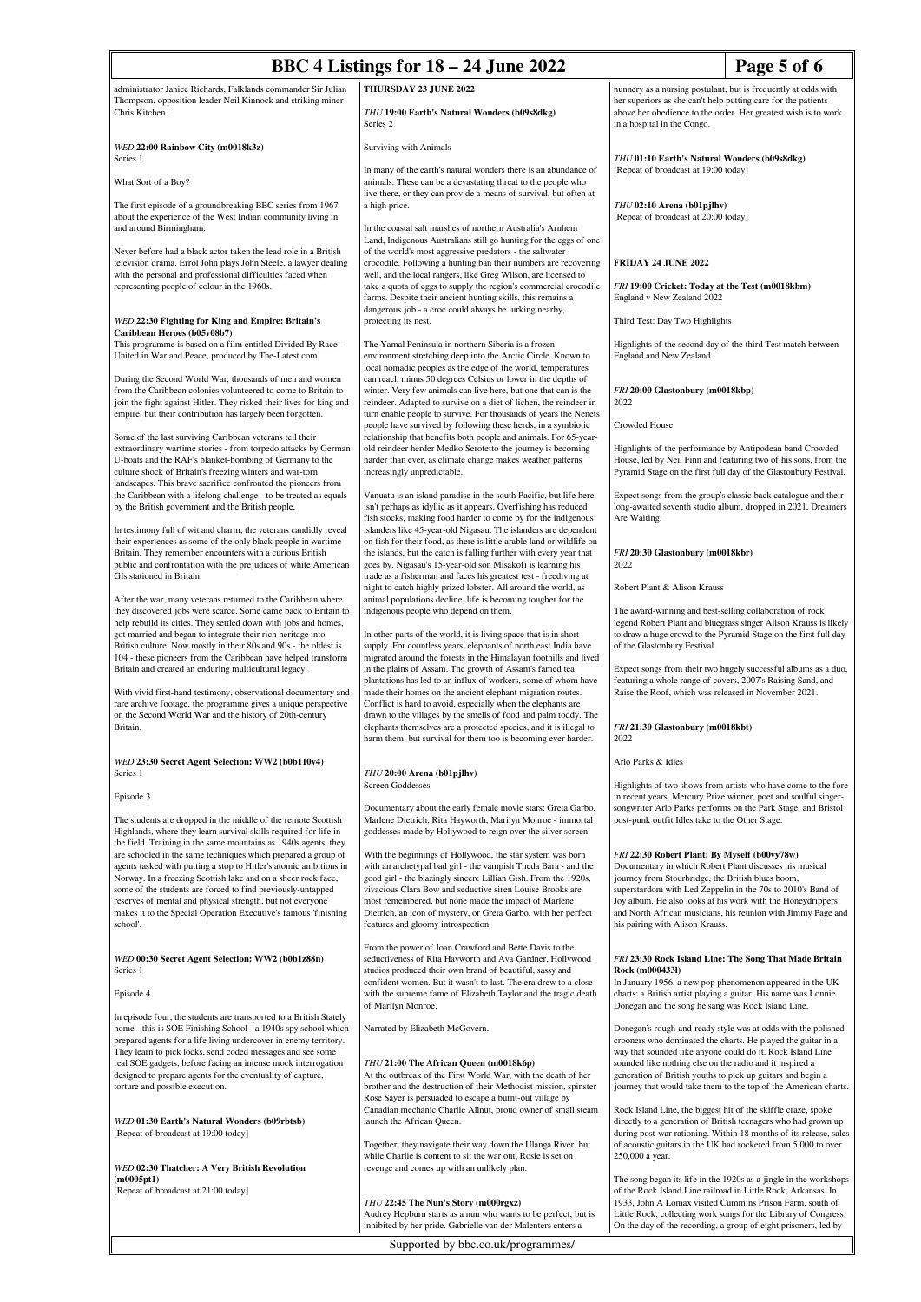# **BBC 4 Listings for 18 – 24 June 2022** Page 5 of 6

administrator Janice Richards, Falklands commander Sir Julian Thompson, opposition leader Neil Kinnock and striking miner Chris Kitchen.

### *WED* **22:00 Rainbow City (m0018k3z)** Series 1

What Sort of a Boy?

The first episode of a groundbreaking BBC series from 1967 about the experience of the West Indian community living in and around Birmingham.

Never before had a black actor taken the lead role in a British television drama. Errol John plays John Steele, a lawyer dealing with the personal and professional difficulties faced when representing people of colour in the 1960s.

### *WED* **22:30 Fighting for King and Empire: Britain's Caribbean Heroes (b05v08b7)**

This programme is based on a film entitled Divided By Race - United in War and Peace, produced by The-Latest.com.

During the Second World War, thousands of men and women from the Caribbean colonies volunteered to come to Britain to join the fight against Hitler. They risked their lives for king and empire, but their contribution has largely been forgotten.

Some of the last surviving Caribbean veterans tell their extraordinary wartime stories - from torpedo attacks by German U-boats and the RAF's blanket-bombing of Germany to the culture shock of Britain's freezing winters and war-torn landscapes. This brave sacrifice confronted the pioneers from the Caribbean with a lifelong challenge - to be treated as equals by the British government and the British people.

In testimony full of wit and charm, the veterans candidly reveal their experiences as some of the only black people in wartime Britain. They remember encounters with a curious British public and confrontation with the prejudices of white American GIs stationed in Britain.

After the war, many veterans returned to the Caribbean where they discovered jobs were scarce. Some came back to Britain to help rebuild its cities. They settled down with jobs and homes got married and began to integrate their rich heritage into British culture. Now mostly in their 80s and 90s - the oldest is 104 - these pioneers from the Caribbean have helped transform Britain and created an enduring multicultural legacy.

With vivid first-hand testimony, observational documentary and rare archive footage, the programme gives a unique perspective on the Second World War and the history of 20th-century Britain.

*WED* **23:30 Secret Agent Selection: WW2 (b0b110v4)** Series 1

Episode 3

The students are dropped in the middle of the remote Scottish Highlands, where they learn survival skills required for life in the field. Training in the same mountains as 1940s agents, they are schooled in the same techniques which prepared a group of agents tasked with putting a stop to Hitler's atomic ambitions in Norway. In a freezing Scottish lake and on a sheer rock face, some of the students are forced to find previously-untapped reserves of mental and physical strength, but not everyone makes it to the Special Operation Executive's famous 'finishing school'.

*WED* **00:30 Secret Agent Selection: WW2 (b0b1z88n)** Series 1

Episode 4

In episode four, the students are transported to a British Stately home - this is SOE Finishing School - a 1940s spy school which prepared agents for a life living undercover in enemy territory. They learn to pick locks, send coded messages and see some real SOE gadgets, before facing an intense mock interrogation designed to prepare agents for the eventuality of capture, torture and possible execution.

*WED* **01:30 Earth's Natural Wonders (b09rbtsb)** [Repeat of broadcast at 19:00 today]

*WED* **02:30 Thatcher: A Very British Revolution (m0005pt1)** [Repeat of broadcast at 21:00 today]

**THURSDAY 23 JUNE 2022**

*THU* **19:00 Earth's Natural Wonders (b09s8dkg)** Series 2

arviving with Animals

In many of the earth's natural wonders there is an abundance of animals. These can be a devastating threat to the people who live there, or they can provide a means of survival, but often at a high price.

In the coastal salt marshes of northern Australia's Arnhem Land, Indigenous Australians still go hunting for the eggs of one of the world's most aggressive predators - the saltwater crocodile. Following a hunting ban their numbers are recovering well, and the local rangers, like Greg Wilson, are licensed to take a quota of eggs to supply the region's commercial crocodile farms. Despite their ancient hunting skills, this remains a dangerous job - a croc could always be lurking nearby, protecting its nest.

The Yamal Peninsula in northern Siberia is a frozen environment stretching deep into the Arctic Circle. Known to local nomadic peoples as the edge of the world, temperatures can reach minus 50 degrees Celsius or lower in the depths of winter. Very few animals can live here, but one that can is the reindeer. Adapted to survive on a diet of lichen, the reindeer in turn enable people to survive. For thousands of years the Nenets people have survived by following these herds, in a symbiotic relationship that benefits both people and animals. For 65-yearold reindeer herder Medko Serotetto the journey is becoming harder than ever, as climate change makes weather patterns increasingly unpredictable.

Vanuatu is an island paradise in the south Pacific, but life here isn't perhaps as idyllic as it appears. Overfishing has reduced fish stocks, making food harder to come by for the indigenous islanders like 45-year-old Nigasau. The islanders are dependent on fish for their food, as there is little arable land or wildlife on the islands, but the catch is falling further with every year that goes by. Nigasau's 15-year-old son Misakofi is learning his trade as a fisherman and faces his greatest test - freediving at night to catch highly prized lobster. All around the world, as animal populations decline, life is becoming tougher for the indigenous people who depend on them.

In other parts of the world, it is living space that is in short supply. For countless years, elephants of north east India have migrated around the forests in the Himalayan foothills and lived in the plains of Assam. The growth of Assam's famed tea plantations has led to an influx of workers, some of whom have made their homes on the ancient elephant migration routes. Conflict is hard to avoid, especially when the elephants are drawn to the villages by the smells of food and palm toddy. The elephants themselves are a protected species, and it is illegal to harm them, but survival for them too is becoming ever harder.

### *THU* **20:00 Arena (b01pjlhv)** Screen Goddesses

Documentary about the early female movie stars: Greta Garbo, Marlene Dietrich, Rita Hayworth, Marilyn Monroe - immortal goddesses made by Hollywood to reign over the silver screen.

With the beginnings of Hollywood, the star system was born with an archetypal bad girl - the vampish Theda Bara - and the good girl - the blazingly sincere Lillian Gish. From the 1920s, vivacious Clara Bow and seductive siren Louise Brooks are most remembered, but none made the impact of Marlene Dietrich, an icon of mystery, or Greta Garbo, with her perfect features and gloomy introspection.

From the power of Joan Crawford and Bette Davis to the seductiveness of Rita Hayworth and Ava Gardner, Hollywood studios produced their own brand of beautiful, sassy and confident women. But it wasn't to last. The era drew to a close with the supreme fame of Elizabeth Taylor and the tragic death of Marilyn Monroe.

Narrated by Elizabeth McGovern.

# *THU* **21:00 The African Queen (m0018k6p)**

At the outbreak of the First World War, with the death of her brother and the destruction of their Methodist mission, spinster Rose Sayer is persuaded to escape a burnt-out village by Canadian mechanic Charlie Allnut, proud owner of small steam launch the African Queen.

Together, they navigate their way down the Ulanga River, but while Charlie is content to sit the war out, Rosie is set on revenge and comes up with an unlikely plan.

*THU* **22:45 The Nun's Story (m000rgxz)** Audrey Hepburn starts as a nun who wants to be perfect, but is inhibited by her pride. Gabrielle van der Malenters enters a

Supported by bbc.co.uk/programmes/

nunnery as a nursing postulant, but is frequently at odds with her superiors as she can't help putting care for the patients above her obedience to the order. Her greatest wish is to work in a hospital in the Congo.

*THU* **01:10 Earth's Natural Wonders (b09s8dkg)** [Repeat of broadcast at 19:00 today]

*THU* **02:10 Arena (b01pjlhv)** [Repeat of broadcast at 20:00 today]

# **FRIDAY 24 JUNE 2022**

*FRI* **19:00 Cricket: Today at the Test (m0018kbm)** England v New Zealand 2022

rd Test: Day Two Highlights

Highlights of the second day of the third Test match between England and New Zealand.

### *FRI* **20:00 Glastonbury (m0018kbp)** 2022

## Crowded House

Highlights of the performance by Antipodean band Crowded House, led by Neil Finn and featuring two of his sons, from the Pyramid Stage on the first full day of the Glastonbury Festival.

Expect songs from the group's classic back catalogue and their long-awaited seventh studio album, dropped in 2021, Dreamers Are Waiting.

### *FRI* **20:30 Glastonbury (m0018kbr)** 2022

Robert Plant & Alison Krauss

The award-winning and best-selling collaboration of rock legend Robert Plant and bluegrass singer Alison Krauss is likely to draw a huge crowd to the Pyramid Stage on the first full day of the Glastonbury Festival.

Expect songs from their two hugely successful albums as a duo, featuring a whole range of covers, 2007's Raising Sand, and Raise the Roof, which was released in November 2021.

### *FRI* **21:30 Glastonbury (m0018kbt)** 2022

Arlo Parks & Idles

Highlights of two shows from artists who have come to the fore in recent years. Mercury Prize winner, poet and soulful singer-songwriter Arlo Parks performs on the Park Stage, and Bristol post-punk outfit Idles take to the Other Stage.

## *FRI* **22:30 Robert Plant: By Myself (b00vy78w)**

Documentary in which Robert Plant discusses his musical journey from Stourbridge, the British blues boom, summy from aroundingly, and arrival of the *storm*, Joy album. He also looks at his work with the Honeydrippers and North African musicians, his reunion with Jimmy Page and his pairing with Alison Krauss.

### *FRI* **23:30 Rock Island Line: The Song That Made Britain Rock (m000433l)**

In January 1956, a new pop phenomenon appeared in the UK charts: a British artist playing a guitar. His name was Lonnie Donegan and the song he sang was Rock Island Line.

Donegan's rough-and-ready style was at odds with the polished crooners who dominated the charts. He played the guitar in a way that sounded like anyone could do it. Rock Island Line ounded like nothing else on the radio and it inspired a generation of British youths to pick up guitars and begin a journey that would take them to the top of the American charts.

Rock Island Line, the biggest hit of the skiffle craze, spoke directly to a generation of British teenagers who had grown up during post-war rationing. Within 18 months of its release, sales of acoustic guitars in the UK had rocketed from 5,000 to over 250,000 a year.

The song began its life in the 1920s as a jingle in the workshop of the Rock Island Line railroad in Little Rock, Arkansas. In 1933, John A Lomax visited Cummins Prison Farm, south of Little Rock, collecting work songs for the Library of Congress. On the day of the recording, a group of eight prisoners, led by